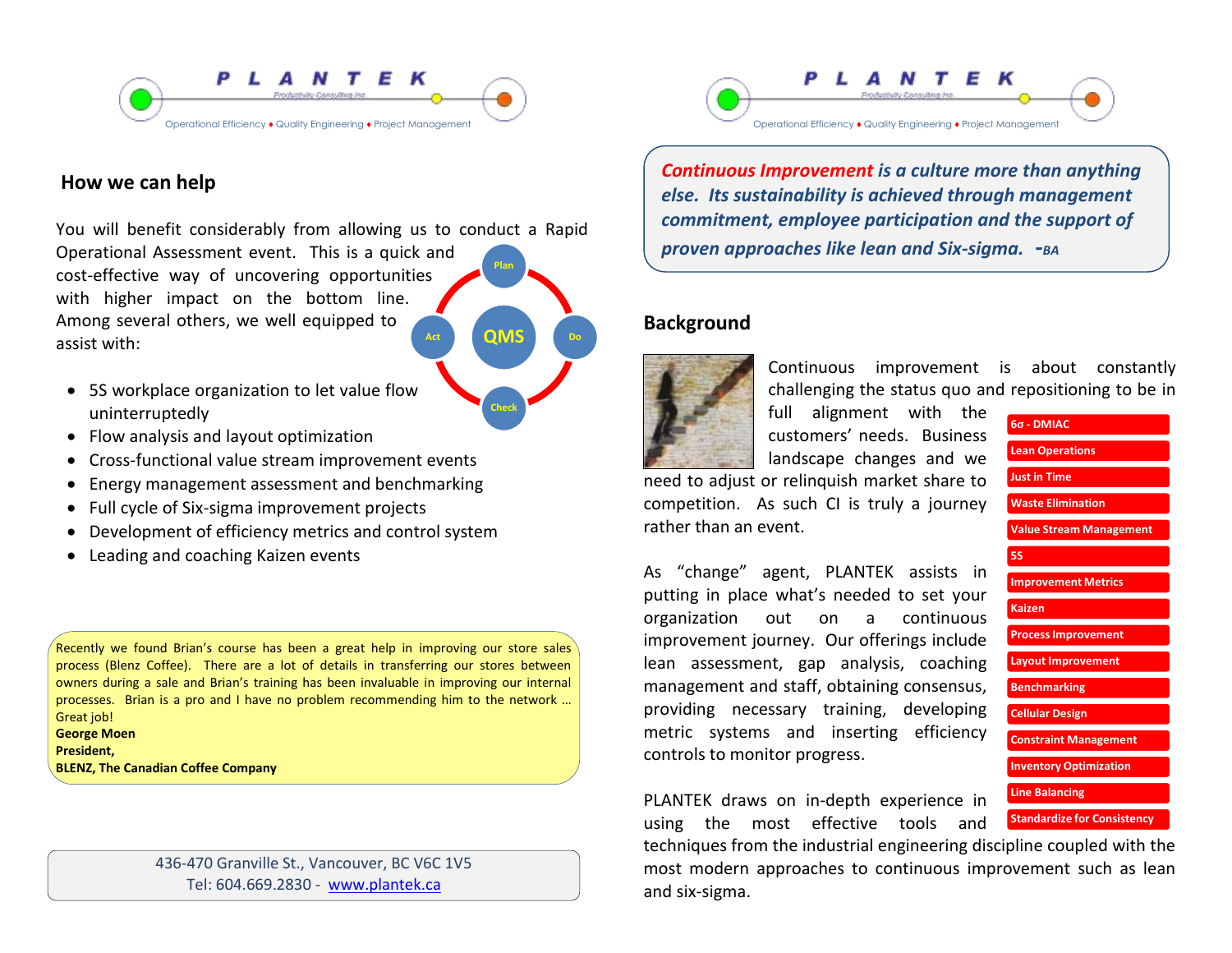

# **How we can help**

**QMS Plan Do Act** You will benefit considerably from allowing us to conduct a Rapid Operational Assessment event. This is a quick and cost-effective way of uncovering opportunities with higher impact on the bottom line. Among several others, we well equipped to assist with:

- 5S workplace organization to let value flow uninterruptedly
- Flow analysis and layout optimization
- Cross-functional value stream improvement events
- Energy management assessment and benchmarking
- Full cycle of Six-sigma improvement projects
- Development of efficiency metrics and control system
- Leading and coaching Kaizen events

Recently we found Brian's course has been a great help in improving our store sales process (Blenz Coffee). There are a lot of details in transferring our stores between owners during a sale and Brian's training has been invaluable in improving our internal processes. Brian is a pro and I have no problem recommending him to the network … Great job!

#### **George Moen President, BLENZ, The Canadian Coffee Company**

436-470 Granville St., Vancouver, BC V6C 1V5 Tel: 604.669.2830 - [www.plantek.ca](file:///C:\Documents%20and%20Settings\Brian%20Amouzegar\My%20Documents\PLANTEK\Marketing\Promotional%20Material\Brochues\Ops%20Efficiency%20Brochure\www.plantek.ca)



*Continuous Improvement is a culture more than anything else. Its sustainability is achieved through management commitment, employee participation and the support of proven approaches like lean and Six-sigma. -BA*

# **Background**



**Check**

Continuous improvement is about constantly challenging the status quo and repositioning to be in

full alignment with the customers' needs. Business landscape changes and we

need to adjust or relinquish market share to competition. As such CI is truly a journey rather than an event.

As "change" agent, PLANTEK assists in putting in place what's needed to set your organization out on a continuous improvement journey. Our offerings include lean assessment, gap analysis, coaching management and staff, obtaining consensus, providing necessary training, developing metric systems and inserting efficiency controls to monitor progress.

PLANTEK draws on in-depth experience in using the most effective tools and

**6σ - DMIAC Lean Operations Just in Time Waste Elimination Value Stream Management 5S Improvement Metrics Kaizen Process Improvement Layout Improvement Benchmarking Cellular Design Constraint Management Inventory Optimization Line Balancing Standardize for Consistency**

techniques from the industrial engineering discipline coupled with the most modern approaches to continuous improvement such as lean and six-sigma.